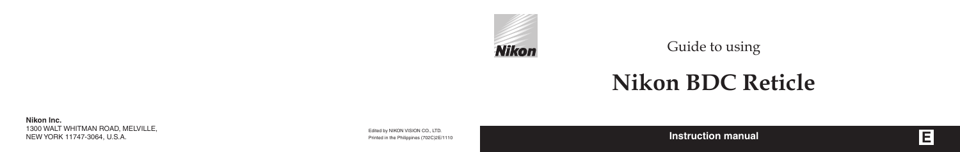**E**

**Nikon Inc.** 1300 WALT WHITMAN ROAD, MELVILLE, NEW YORK 11747-3064, U.S.A.

Edited by NIKON VISION CO., LTD. Printed in the Philippines (702C)2E/1110 Guide to using



# **Nikon BDC Reticle**

**Instruction manual**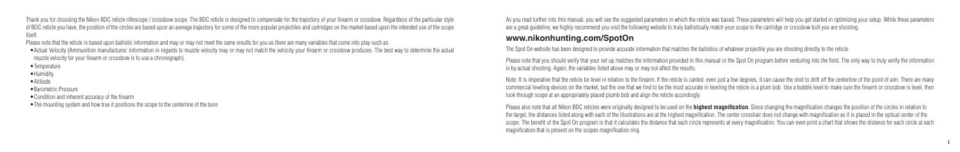Thank you for choosing the Nikon BDC reticle riflescope / crossbow scope. The BDC reticle is designed to compensate for the trajectory of your firearm or crossbow. Regardless of the particular style of BDC reticle you have, the position of the circles are based upon an average trajectory for some of the more popular projectiles and cartridges on the market based upon the intended use of the scope itself.

Please note that the reticle is based upon ballistic information and may or may not meet the same results for you as there are many variables that come into play such as:

•Actual Velocity (Ammunition manufactures' information in regards to muzzle velocity may or may not match the velocity your firearm or crossbow produces. The best way to determine the actual muzzle velocity for your firearm or crossbow is to use a chronograph).

- •Temperature
- •Humidity
- •Altitude

•Barometric Pressure

•Condition and inherent accuracy of the firearm

• The mounting system and how true it positions the scope to the centerline of the bore

As you read further into this manual, you will see the suggested parameters in which the reticle was based. These parameters will help you get started in optimizing your setup. While these parameters are a great guideline, we highly recommend you visit the following website to truly ballistically match your scope to the cartridge or crossbow bolt you are shooting.

Please note that you should verify that your set up matches the information provided in this manual or the Spot On program before venturing into the field. The only way to truly verify the information is by actual shooting. Again, the variables listed above may or may not affect the results.

Note: It is imperative that the reticle be level in relation to the firearm. If the reticle is canted, even just a few degrees, it can cause the shot to drift off the centerline of the point of aim. There are many commercial leveling devices on the market, but the one that we find to be the most accurate in leveling the reticle is a plum bob. Use a bubble level to make sure the firearm or crossbow is level, then look through scope at an appropriately placed plumb bob and align the reticle accordingly.

### **www.nikonhunting.com/SpotOn**

The Spot On website has been designed to provide accurate information that matches the ballistics of whatever projectile you are shooting directly to the reticle.

Please also note that all Nikon BDC reticles were originally designed to be used on the **highest magnification**. Since changing the magnification changes the position of the circles in relation to the target, the distances listed along with each of the illustrations are at the highest magnification. The center crosshair does not change with magnification as it is placed in the optical center of the scope. The benefit of the Spot On program is that it calculates the distance that each circle represents at every magnification. You can even print a chart that shows the distance for each circle at each magnification that is present on the scopes magnification ring.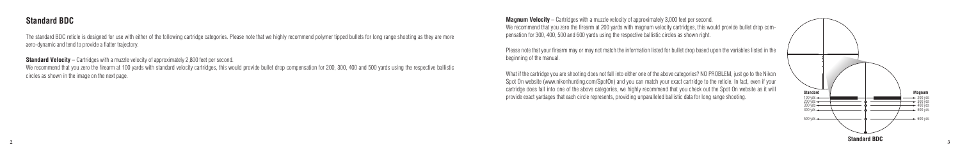#### **Standard BDC**

The standard BDC reticle is designed for use with either of the following cartridge categories. Please note that we highly recommend polymer tipped bullets for long range shooting as they are more aero-dynamic and tend to provide a flatter trajectory.

**Standard Velocity** – Cartridges with a muzzle velocity of approximately 2,800 feet per second. We recommend that you zero the firearm at 100 yards with standard velocity cartridges, this would provide bullet drop compensation for 200, 300, 400 and 500 yards using the respective ballistic circles as shown in the image on the next page.

**Magnum Velocity** – Cartridges with a muzzle velocity of approximately 3,000 feet per second. We recommend that you zero the firearm at 200 yards with magnum velocity cartridges, this would provide bullet drop compensation for 300, 400, 500 and 600 yards using the respective ballistic circles as shown right.



Please note that your firearm may or may not match the information listed for bullet drop based upon the variables listed in the beginning of the manual.

What if the cartridge you are shooting does not fall into either one of the above categories? NO PROBLEM, just go to the Nikon Spot On website (www.nikonhunting.com/SpotOn) and you can match your exact cartridge to the reticle. In fact, even if your cartridge does fall into one of the above categories, we highly recommend that you check out the Spot On website as it will provide exact yardages that each circle represents, providing unparalleled ballistic data for long range shooting.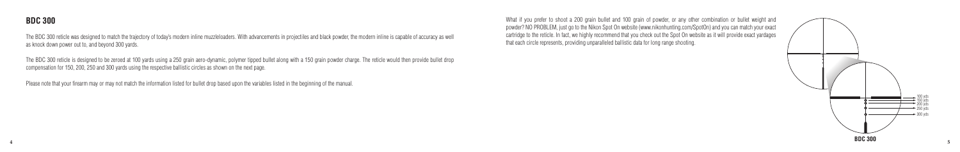

The BDC 300 reticle was designed to match the trajectory of today's modern inline muzzleloaders. With advancements in projectiles and black powder, the modern inline is capable of accuracy as well as knock down power out to, and beyond 300 yards.

The BDC 300 reticle is designed to be zeroed at 100 yards using a 250 grain aero-dynamic, polymer tipped bullet along with a 150 grain powder charge. The reticle would then provide bullet drop compensation for 150, 200, 250 and 300 yards using the respective ballistic circles as shown on the next page.



Please note that your firearm may or may not match the information listed for bullet drop based upon the variables listed in the beginning of the manual.

What if you prefer to shoot a 200 grain bullet and 100 grain of powder, or any other combination or bullet weight and powder? NO PROBLEM, just go to the Nikon Spot On website (www.nikonhunting.com/SpotOn) and you can match your exact cartridge to the reticle. In fact, we highly recommend that you check out the Spot On website as it will provide exact yardages that each circle represents, providing unparalleled ballistic data for long range shooting.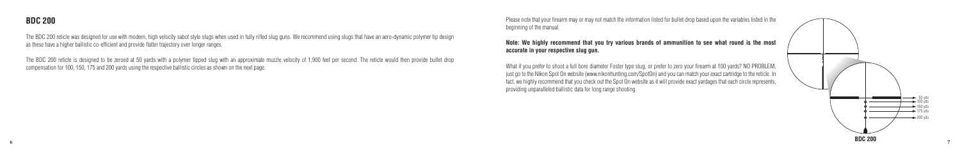

The BDC 200 reticle was designed for use with modern, high velocity sabot style slugs when used in fully rifled slug guns. We recommend using slugs that have an aero-dynamic polymer tip design as these have a higher ballistic co-efficient and provide flatter trajectory over longer ranges.

The BDC 200 reticle is designed to be zeroed at 50 yards with a polymer tipped slug with an approximate muzzle velocity of 1,900 feet per second. The reticle would then provide bullet drop compensation for 100, 150, 175 and 200 yards using the respective ballistic circles as shown on the next page.

Please note that your firearm may or may not match the information listed for bullet drop based upon the variables listed in the beginning of the manual.



#### **Note: We highly recommend that you try various brands of ammunition to see what round is the most**

**accurate in your respective slug gun.**

What if you prefer to shoot a full bore diameter Foster type slug, or prefer to zero your firearm at 100 yards? NO PROBLEM, just go to the Nikon Spot On website (www.nikonhunting.com/SpotOn) and you can match your exact cartridge to the reticle. In fact, we highly recommend that you check out the Spot On website as it will provide exact yardages that each circle represents, providing unparalleled ballistic data for long range shooting.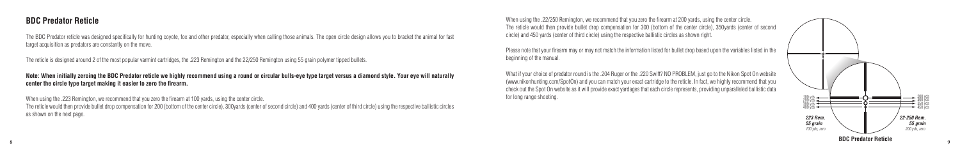#### **BDC Predator Reticle**

The BDC Predator reticle was designed specifically for hunting coyote, fox and other predator, especially when calling those animals. The open circle design allows you to bracket the animal for fast target acquisition as predators are constantly on the move.

The reticle is designed around 2 of the most popular varmint cartridges, the .223 Remington and the 22/250 Remington using 55 grain polymer tipped bullets.

**Note: When initially zeroing the BDC Predator reticle we highly recommend using a round or circular bulls-eye type target versus a diamond style. Your eye will naturally center the circle type target making it easier to zero the firearm.**

What if your choice of predator round is the .204 Ruger or the .220 Swift? NO PROBLEM, just go to the Nikon Spot On website (www.nikonhunting.com/SpotOn) and you can match your exact cartridge to the reticle. In fact, we highly recommend that you check out the Spot On website as it will provide exact yardages that each circle represents, providing unparalleled ballistic data for long range shooting. The state of the state of the state of the state of the state of the state of the state of the state of the state of the state of the state of the state of the state of the state of the state of t

When using the .223 Remington, we recommend that you zero the firearm at 100 yards, using the center circle. The reticle would then provide bullet drop compensation for 200 (bottom of the center circle), 300yards (center of second circle) and 400 yards (center of third circle) using the respective ballistic circles as shown on the next page.



When using the .22/250 Remington, we recommend that you zero the firearm at 200 yards, using the center circle. The reticle would then provide bullet drop compensation for 300 (bottom of the center circle), 350yards (center of second circle) and 450 yards (center of third circle) using the respective ballistic circles as shown right.

Please note that your firearm may or may not match the information listed for bullet drop based upon the variables listed in the beginning of the manual.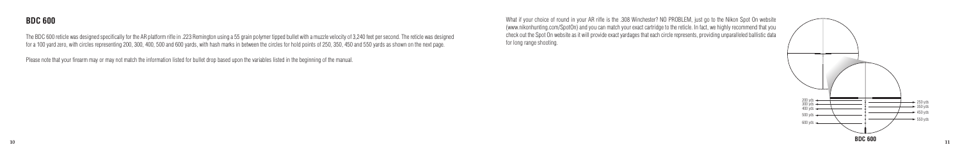The BDC 600 reticle was designed specifically for the AR platform rifle in .223 Remington using a 55 grain polymer tipped bullet with a muzzle velocity of 3,240 feet per second. The reticle was designed for a 100 yard zero, with circles representing 200, 300, 400, 500 and 600 yards, with hash marks in between the circles for hold points of 250, 350, 450 and 550 yards as shown on the next page.



Please note that your firearm may or may not match the information listed for bullet drop based upon the variables listed in the beginning of the manual.



What if your choice of round in your AR rifle is the .308 Winchester? NO PROBLEM, just go to the Nikon Spot On website (www.nikonhunting.com/SpotOn) and you can match your exact cartridge to the reticle. In fact, we highly recommend that you check out the Spot On website as it will provide exact yardages that each circle represents, providing unparalleled ballistic data for long range shooting.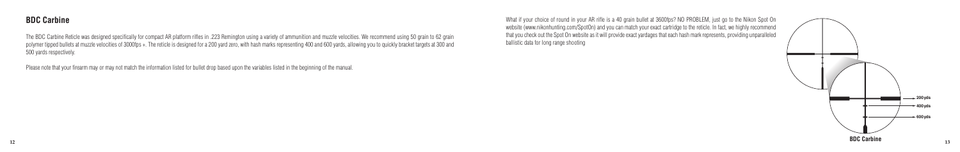

The BDC Carbine Reticle was designed specifically for compact AR platform rifles in .223 Remington using a variety of ammunition and muzzle velocities. We recommend using 50 grain to 62 grain polymer tipped bullets at muzzle velocities of 3000fps +. The reticle is designed for a 200 yard zero, with hash marks representing 400 and 600 yards, allowing you to quickly bracket targets at 300 and 500 yards respectively.

Please note that your firearm may or may not match the information listed for bullet drop based upon the variables listed in the beginning of the manual.



What if your choice of round in your AR rifle is a 40 grain bullet at 3600fps? NO PROBLEM, just go to the Nikon Spot On website (www.nikonhunting.com/SpotOn) and you can match your exact cartridge to the reticle. In fact, we highly recommend that you check out the Spot On website as it will provide exact yardages that each hash mark represents, providing unparalleled ballistic data for long range shooting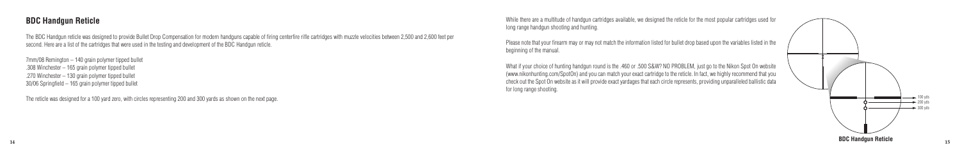### **BDC Handgun Reticle**

The BDC Handgun reticle was designed to provide Bullet Drop Compensation for modern handguns capable of firing centerfire rifle cartridges with muzzle velocities between 2,500 and 2,600 feet per second. Here are a list of the cartridges that were used in the testing and development of the BDC Handgun reticle.

7mm/08 Remington – 140 grain polymer tipped bullet .308 Winchester – 165 grain polymer tipped bullet .270 Winchester – 130 grain polymer tipped bullet 30/06 Springfield – 165 grain polymer tipped bullet

The reticle was designed for a 100 yard zero, with circles representing 200 and 300 yards as shown on the next page.



While there are a multitude of handgun cartridges available, we designed the reticle for the most popular cartridges used for long range handgun shooting and hunting.

Please note that your firearm may or may not match the information listed for bullet drop based upon the variables listed in the beginning of the manual.

What if your choice of hunting handgun round is the .460 or .500 S&W? NO PROBLEM, just go to the Nikon Spot On website (www.nikonhunting.com/SpotOn) and you can match your exact cartridge to the reticle. In fact, we highly recommend that you check out the Spot On website as it will provide exact yardages that each circle represents, providing unparalleled ballistic data for long range shooting.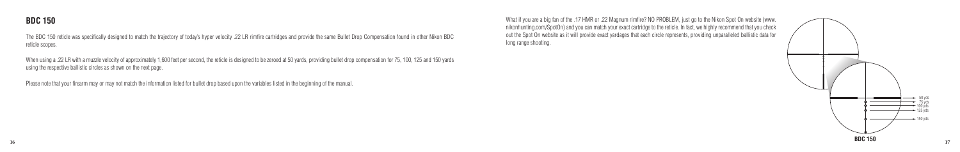The BDC 150 reticle was specifically designed to match the trajectory of today's hyper velocity .22 LR rimfire cartridges and provide the same Bullet Drop Compensation found in other Nikon BDC reticle scopes.

When using a .22 LR with a muzzle velocity of approximately 1,600 feet per second, the reticle is designed to be zeroed at 50 yards, providing bullet drop compensation for 75, 100, 125 and 150 yards using the respective ballistic circles as shown on the next page.



Please note that your firearm may or may not match the information listed for bullet drop based upon the variables listed in the beginning of the manual.

What if you are a big fan of the .17 HMR or .22 Magnum rimfire? NO PROBLEM, just go to the Nikon Spot On website (www. nikonhunting.com/SpotOn) and you can match your exact cartridge to the reticle. In fact, we highly recommend that you check out the Spot On website as it will provide exact yardages that each circle represents, providing unparalleled ballistic data for long range shooting.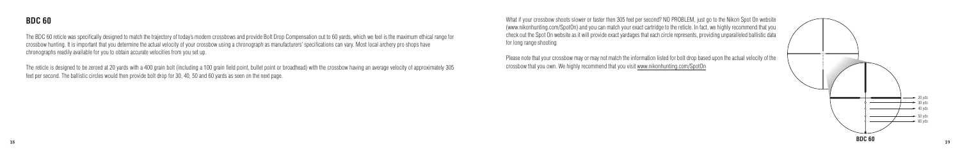

The BDC 60 reticle was specifically designed to match the trajectory of today's modern crossbows and provide Bolt Drop Compensation out to 60 yards, which we feel is the maximum ethical range for crossbow hunting. It is important that you determine the actual velocity of your crossbow using a chronograph as manufacturers' specifications can vary. Most local archery pro shops have chronographs readily available for you to obtain accurate velocities from you set up.

The reticle is designed to be zeroed at 20 yards with a 400 grain bolt (including a 100 grain field point, bullet point or broadhead) with the crossbow having an average velocity of approximately 305 feet per second. The ballistic circles would then provide bolt drop for 30, 40, 50 and 60 yards as seen on the next page.



What if your crossbow shoots slower or faster then 305 feet per second? NO PROBLEM, just go to the Nikon Spot On website (www.nikonhunting.com/SpotOn) and you can match your exact cartridge to the reticle. In fact, we highly recommend that you check out the Spot On website as it will provide exact yardages that each circle represents, providing unparalleled ballistic data for long range shooting

Please note that your crossbow may or may not match the information listed for bolt drop based upon the actual velocity of the crossbow that you own. We highly recommend that you visit www.nikonhunting.com/SpotOn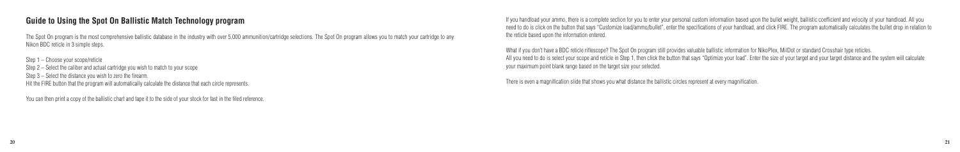## **Guide to Using the Spot On Ballistic Match Technology program**

The Spot On program is the most comprehensive ballistic database in the industry with over 5,000 ammunition/cartridge selections. The Spot On program allows you to match your cartridge to any Nikon BDC reticle in 3 simple steps.

Step 1 – Choose your scope/reticle Step 2 – Select the caliber and actual cartridge you wish to match to your scope Step 3 – Select the distance you wish to zero the firearm. Hit the FIRE button that the program will automatically calculate the distance that each circle represents.

You can then print a copy of the ballistic chart and tape it to the side of your stock for fast in the filed reference.

What if you don't have a BDC reticle riflescope? The Spot On program still provides valuable ballistic information for NikoPlex. MilDot or standard Crosshair type reticles. All you need to do is select your scope and reticle in Step 1, then click the button that says "Optimize your load". Enter the size of your target and your target distance and the system will calculate your maximum point blank range based on the target size your selected.

If you handload your ammo, there is a complete section for you to enter your personal custom information based upon the bullet weight, ballistic coefficient and velocity of your handload. All you need to do is click on the button that says "Customize load/ammo/bullet", enter the specifications of your handload, and click FIRE. The program automatically calculates the bullet drop in relation to the reticle based upon the information entered.

There is even a magnification slide that shows you what distance the ballistic circles represent at every magnification.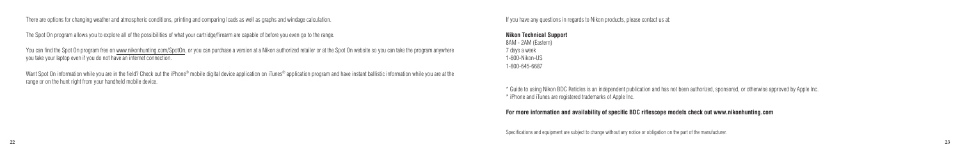There are options for changing weather and atmospheric conditions, printing and comparing loads as well as graphs and windage calculation.

The Spot On program allows you to explore all of the possibilities of what your cartridge/firearm are capable of before you even go to the range.

You can find the Spot On program free on www.nikonhunting.com/SpotOn, or you can purchase a version at a Nikon authorized retailer or at the Spot On website so you can take the program anywhere you take your laptop even if you do not have an internet connection.

Want Spot On information while you are in the field? Check out the iPhone® mobile digital device application on iTunes® application program and have instant ballistic information while you are at the range or on the hunt right from your handheld mobile device.

If you have any questions in regards to Nikon products, please contact us at:

**Nikon Technical Support** 8AM - 2AM (Eastern) 7 days a week 1-800-Nikon-US 1-800-645-6687

\* Guide to using Nikon BDC Reticles is an independent publication and has not been authorized, sponsored, or otherwise approved by Apple Inc. \* iPhone and iTunes are registered trademarks of Apple Inc.

#### **For more information and availability of specific BDC riflescope models check out www.nikonhunting.com**

Specifications and equipment are subject to change without any notice or obligation on the part of the manufacturer.